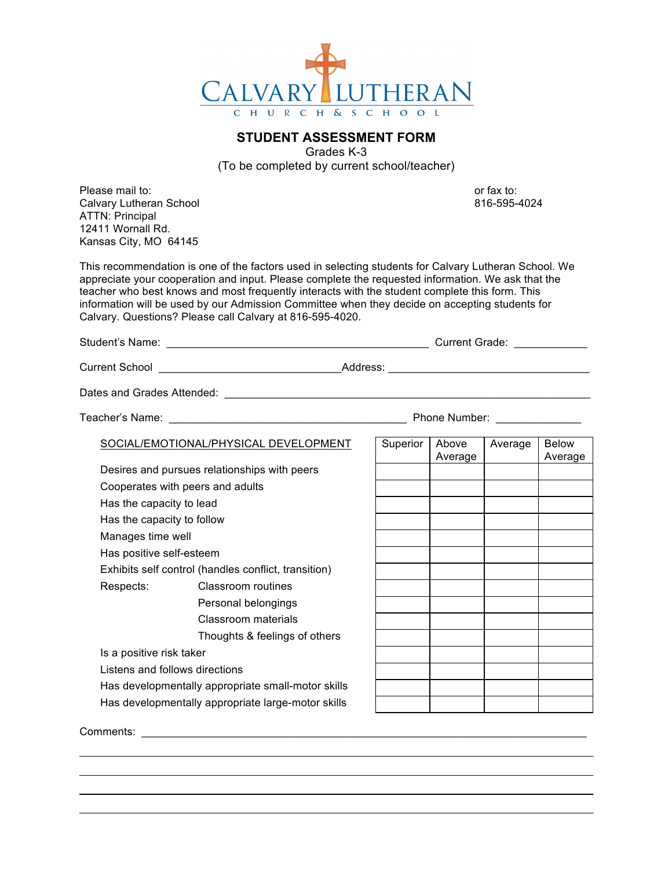

## **STUDENT ASSESSMENT FORM**

Grades K-3 (To be completed by current school/teacher)

Please mail to: or fax to: or fax to: or fax to: or fax to: or fax to: or fax to: or fax to: or fax to: or fax to: or fax to: or fax to: or fax to: or fax to: or fax to: or fax to: or fax to: or fax to: or fax to: or fax t Calvary Lutheran School 816-595-4024 ATTN: Principal 12411 Wornall Rd. Kansas City, MO 64145

This recommendation is one of the factors used in selecting students for Calvary Lutheran School. We appreciate your cooperation and input. Please complete the requested information. We ask that the teacher who best knows and most frequently interacts with the student complete this form. This information will be used by our Admission Committee when they decide on accepting students for Calvary. Questions? Please call Calvary at 816-595-4020.

Student's Name: <br>
Student's Name: 
and the student of the student of the student of the student of the student of the student of the student of the studies of the studies of the studies of the studies of the studies of the

Current School \_\_\_\_\_\_\_\_\_\_\_\_\_\_\_\_\_\_\_\_\_\_\_\_\_\_\_\_\_\_Address: \_\_\_\_\_\_\_\_\_\_\_\_\_\_\_\_\_\_\_\_\_\_\_\_\_\_\_\_\_\_\_\_\_

Dates and Grades Attended: \_\_\_\_\_\_\_\_\_\_\_\_\_\_\_\_\_\_\_\_\_\_\_\_\_\_\_\_\_\_\_\_\_\_\_\_\_\_\_\_\_\_\_\_\_\_\_\_\_\_\_\_\_\_\_\_\_\_\_\_

| Teacher's Name: |  |
|-----------------|--|
|                 |  |

Teacher's Name: \_\_\_\_\_\_\_\_\_\_\_\_\_\_\_\_\_\_\_\_\_\_\_\_\_\_\_\_\_\_\_\_\_\_\_\_\_\_\_ Phone Number: \_\_\_\_\_\_\_\_\_\_\_\_\_\_

SOCIAL/EMOTIONAL/PHYSICAL DEVELOPMENT

Desires and pursues relationships with peers Cooperates with peers and adults Has the capacity to lead Has the capacity to follow Manages time well Has positive self-esteem Exhibits self control (handles conflict, transition) Respects: Classroom routines Personal belongings Classroom materials Thoughts & feelings of others

Is a positive risk taker

Listens and follows directions

Has developmentally appropriate small-motor skills Has developmentally appropriate large-motor skills

| Superior | Above<br>Average | Average | Below<br>Average |
|----------|------------------|---------|------------------|
|          |                  |         |                  |
|          |                  |         |                  |
|          |                  |         |                  |
|          |                  |         |                  |
|          |                  |         |                  |
|          |                  |         |                  |
|          |                  |         |                  |
|          |                  |         |                  |
|          |                  |         |                  |
|          |                  |         |                  |
|          |                  |         |                  |
|          |                  |         |                  |
|          |                  |         |                  |
|          |                  |         |                  |
|          |                  |         |                  |

Comments: \_\_\_\_\_\_\_\_\_\_\_\_\_\_\_\_\_\_\_\_\_\_\_\_\_\_\_\_\_\_\_\_\_\_\_\_\_\_\_\_\_\_\_\_\_\_\_\_\_\_\_\_\_\_\_\_\_\_\_\_\_\_\_\_\_\_\_\_\_\_\_\_\_